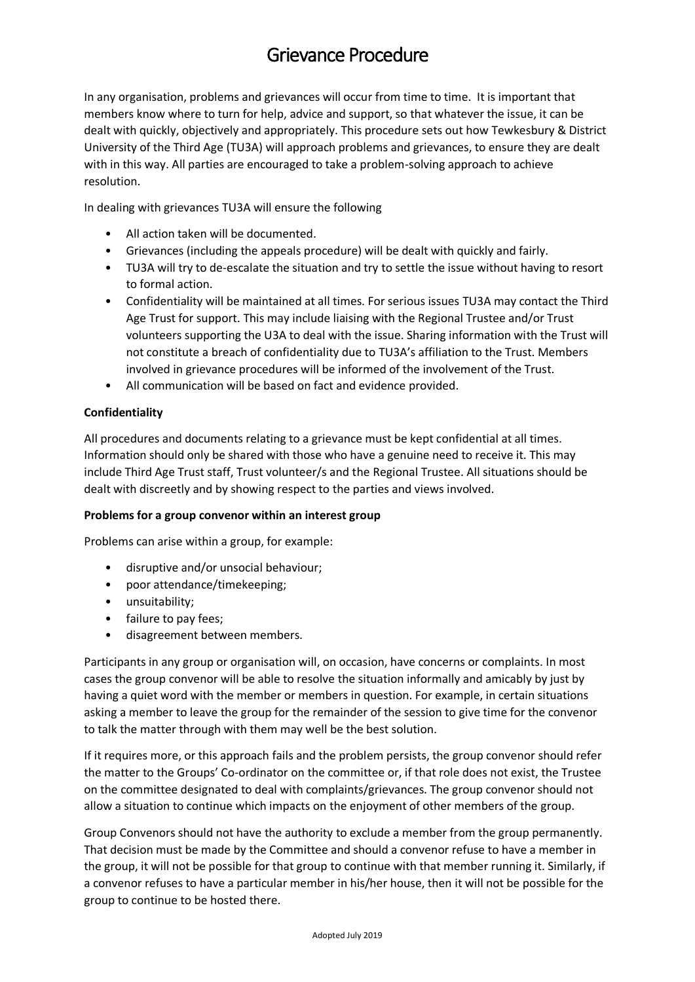# Grievance Procedure

In any organisation, problems and grievances will occur from time to time. It is important that members know where to turn for help, advice and support, so that whatever the issue, it can be dealt with quickly, objectively and appropriately. This procedure sets out how Tewkesbury & District University of the Third Age (TU3A) will approach problems and grievances, to ensure they are dealt with in this way. All parties are encouraged to take a problem-solving approach to achieve resolution.

In dealing with grievances TU3A will ensure the following

- All action taken will be documented.
- Grievances (including the appeals procedure) will be dealt with quickly and fairly.
- TU3A will try to de-escalate the situation and try to settle the issue without having to resort to formal action.
- Confidentiality will be maintained at all times. For serious issues TU3A may contact the Third Age Trust for support. This may include liaising with the Regional Trustee and/or Trust volunteers supporting the U3A to deal with the issue. Sharing information with the Trust will not constitute a breach of confidentiality due to TU3A's affiliation to the Trust. Members involved in grievance procedures will be informed of the involvement of the Trust.
- All communication will be based on fact and evidence provided.

# **Confidentiality**

All procedures and documents relating to a grievance must be kept confidential at all times. Information should only be shared with those who have a genuine need to receive it. This may include Third Age Trust staff, Trust volunteer/s and the Regional Trustee. All situations should be dealt with discreetly and by showing respect to the parties and views involved.

# **Problems for a group convenor within an interest group**

Problems can arise within a group, for example:

- disruptive and/or unsocial behaviour;
- poor attendance/timekeeping;
- unsuitability;
- failure to pay fees;
- disagreement between members.

Participants in any group or organisation will, on occasion, have concerns or complaints. In most cases the group convenor will be able to resolve the situation informally and amicably by just by having a quiet word with the member or members in question. For example, in certain situations asking a member to leave the group for the remainder of the session to give time for the convenor to talk the matter through with them may well be the best solution.

If it requires more, or this approach fails and the problem persists, the group convenor should refer the matter to the Groups' Co-ordinator on the committee or, if that role does not exist, the Trustee on the committee designated to deal with complaints/grievances. The group convenor should not allow a situation to continue which impacts on the enjoyment of other members of the group.

Group Convenors should not have the authority to exclude a member from the group permanently. That decision must be made by the Committee and should a convenor refuse to have a member in the group, it will not be possible for that group to continue with that member running it. Similarly, if a convenor refuses to have a particular member in his/her house, then it will not be possible for the group to continue to be hosted there.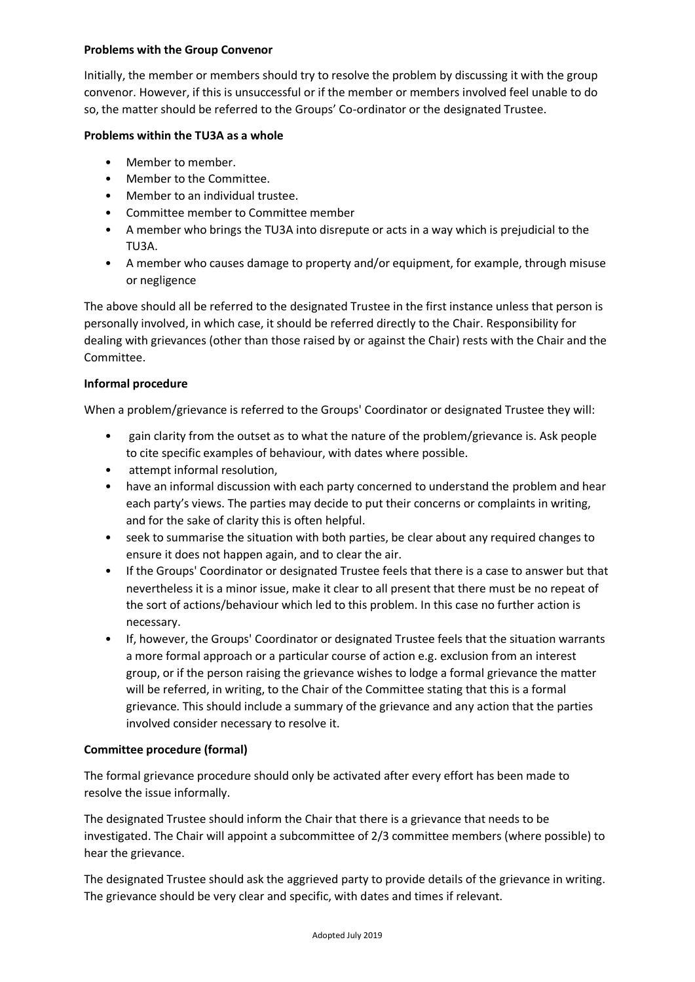## **Problems with the Group Convenor**

Initially, the member or members should try to resolve the problem by discussing it with the group convenor. However, if this is unsuccessful or if the member or members involved feel unable to do so, the matter should be referred to the Groups' Co-ordinator or the designated Trustee.

## **Problems within the TU3A as a whole**

- Member to member.
- Member to the Committee.
- Member to an individual trustee.
- Committee member to Committee member
- A member who brings the TU3A into disrepute or acts in a way which is prejudicial to the TU3A.
- A member who causes damage to property and/or equipment, for example, through misuse or negligence

The above should all be referred to the designated Trustee in the first instance unless that person is personally involved, in which case, it should be referred directly to the Chair. Responsibility for dealing with grievances (other than those raised by or against the Chair) rests with the Chair and the Committee.

## **Informal procedure**

When a problem/grievance is referred to the Groups' Coordinator or designated Trustee they will:

- gain clarity from the outset as to what the nature of the problem/grievance is. Ask people to cite specific examples of behaviour, with dates where possible.
- attempt informal resolution,
- have an informal discussion with each party concerned to understand the problem and hear each party's views. The parties may decide to put their concerns or complaints in writing, and for the sake of clarity this is often helpful.
- seek to summarise the situation with both parties, be clear about any required changes to ensure it does not happen again, and to clear the air.
- If the Groups' Coordinator or designated Trustee feels that there is a case to answer but that nevertheless it is a minor issue, make it clear to all present that there must be no repeat of the sort of actions/behaviour which led to this problem. In this case no further action is necessary.
- If, however, the Groups' Coordinator or designated Trustee feels that the situation warrants a more formal approach or a particular course of action e.g. exclusion from an interest group, or if the person raising the grievance wishes to lodge a formal grievance the matter will be referred, in writing, to the Chair of the Committee stating that this is a formal grievance. This should include a summary of the grievance and any action that the parties involved consider necessary to resolve it.

# **Committee procedure (formal)**

The formal grievance procedure should only be activated after every effort has been made to resolve the issue informally.

The designated Trustee should inform the Chair that there is a grievance that needs to be investigated. The Chair will appoint a subcommittee of 2/3 committee members (where possible) to hear the grievance.

The designated Trustee should ask the aggrieved party to provide details of the grievance in writing. The grievance should be very clear and specific, with dates and times if relevant.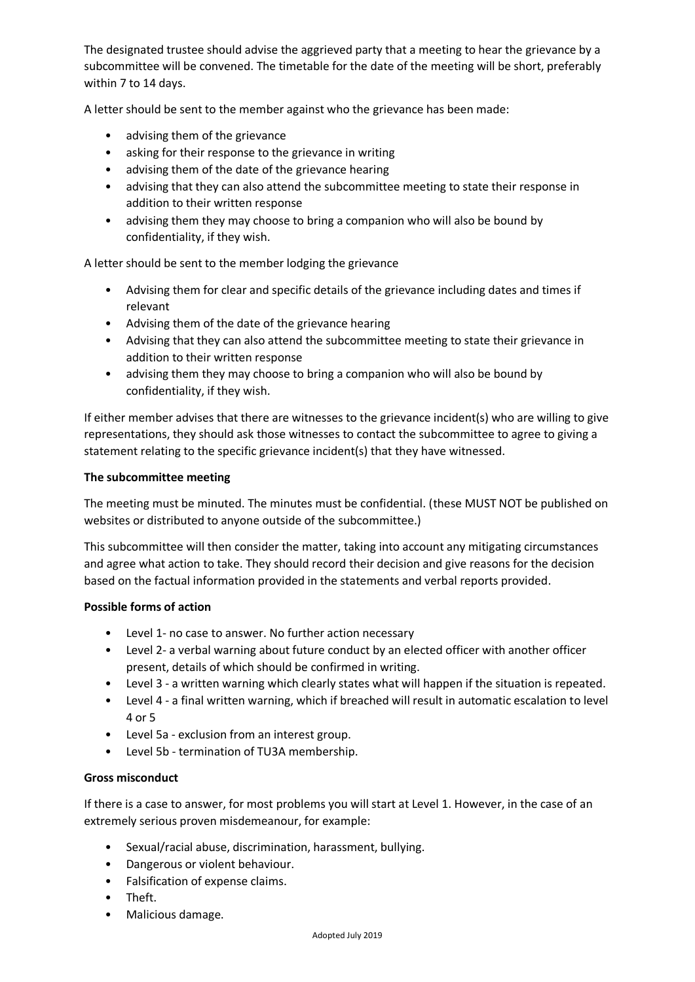The designated trustee should advise the aggrieved party that a meeting to hear the grievance by a subcommittee will be convened. The timetable for the date of the meeting will be short, preferably within 7 to 14 days.

A letter should be sent to the member against who the grievance has been made:

- advising them of the grievance
- asking for their response to the grievance in writing
- advising them of the date of the grievance hearing
- advising that they can also attend the subcommittee meeting to state their response in addition to their written response
- advising them they may choose to bring a companion who will also be bound by confidentiality, if they wish.

A letter should be sent to the member lodging the grievance

- Advising them for clear and specific details of the grievance including dates and times if relevant
- Advising them of the date of the grievance hearing
- Advising that they can also attend the subcommittee meeting to state their grievance in addition to their written response
- advising them they may choose to bring a companion who will also be bound by confidentiality, if they wish.

If either member advises that there are witnesses to the grievance incident(s) who are willing to give representations, they should ask those witnesses to contact the subcommittee to agree to giving a statement relating to the specific grievance incident(s) that they have witnessed.

## **The subcommittee meeting**

The meeting must be minuted. The minutes must be confidential. (these MUST NOT be published on websites or distributed to anyone outside of the subcommittee.)

This subcommittee will then consider the matter, taking into account any mitigating circumstances and agree what action to take. They should record their decision and give reasons for the decision based on the factual information provided in the statements and verbal reports provided.

#### **Possible forms of action**

- Level 1- no case to answer. No further action necessary
- Level 2- a verbal warning about future conduct by an elected officer with another officer present, details of which should be confirmed in writing.
- Level 3 a written warning which clearly states what will happen if the situation is repeated.
- Level 4 a final written warning, which if breached will result in automatic escalation to level 4 or 5
- Level 5a exclusion from an interest group.
- Level 5b termination of TU3A membership.

#### **Gross misconduct**

If there is a case to answer, for most problems you will start at Level 1. However, in the case of an extremely serious proven misdemeanour, for example:

- Sexual/racial abuse, discrimination, harassment, bullying.
- Dangerous or violent behaviour.
- Falsification of expense claims.
- Theft.
- Malicious damage.